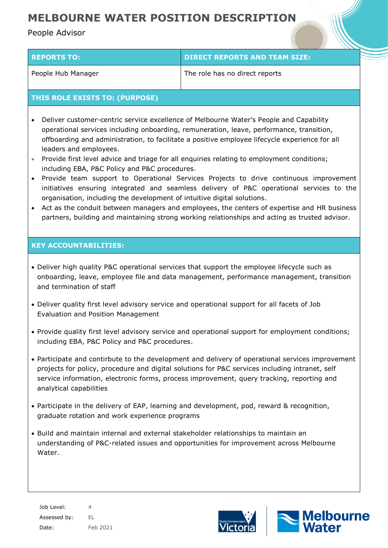# **MELBOURNE WATER POSITION DESCRIPTION**

# People Advisor

| <b>REPORTS TO:</b> | <b>DIRECT REPORTS AND TEAM SIZE:</b> |
|--------------------|--------------------------------------|
| People Hub Manager | The role has no direct reports       |

## **THIS ROLE EXISTS TO: (PURPOSE)**

- Deliver customer-centric service excellence of Melbourne Water's People and Capability operational services including onboarding, remuneration, leave, performance, transition, offboarding and administration, to facilitate a positive employee lifecycle experience for all leaders and employees.
- Provide first level advice and triage for all enquiries relating to employment conditions; including EBA, P&C Policy and P&C procedures.
- Provide team support to Operational Services Projects to drive continuous improvement initiatives ensuring integrated and seamless delivery of P&C operational services to the organisation, including the development of intuitive digital solutions.
- Act as the conduit between managers and employees, the centers of expertise and HR business partners, building and maintaining strong working relationships and acting as trusted advisor.

## **KEY ACCOUNTABILITIES:**

- Deliver high quality P&C operational services that support the employee lifecycle such as onboarding, leave, employee file and data management, performance management, transition and termination of staff
- Deliver quality first level advisory service and operational support for all facets of Job Evaluation and Position Management
- Provide quality first level advisory service and operational support for employment conditions; including EBA, P&C Policy and P&C procedures.
- Participate and contirbute to the development and delivery of operational services improvement projects for policy, procedure and digital solutions for P&C services including intranet, self service information, electronic forms, process improvement, query tracking, reporting and analytical capabilities
- Participate in the delivery of EAP, learning and development, pod, reward & recognition, graduate rotation and work experience programs
- Build and maintain internal and external stakeholder relationships to maintain an understanding of P&C-related issues and opportunities for improvement across Melbourne Water.

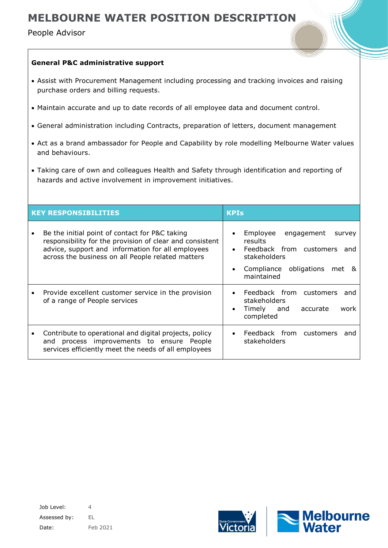# **MELBOURNE WATER POSITION DESCRIPTION**

People Advisor

## **General P&C administrative support**

- Assist with Procurement Management including processing and tracking invoices and raising purchase orders and billing requests.
- Maintain accurate and up to date records of all employee data and document control.
- General administration including Contracts, preparation of letters, document management
- Act as a brand ambassador for People and Capability by role modelling Melbourne Water values and behaviours.
- Taking care of own and colleagues Health and Safety through identification and reporting of hazards and active involvement in improvement initiatives.

| <b>KEY RESPONSIBILITIES</b> |                                                                                                                                                                                                                      | <b>KPIs</b> |                                                                                                                                                    |
|-----------------------------|----------------------------------------------------------------------------------------------------------------------------------------------------------------------------------------------------------------------|-------------|----------------------------------------------------------------------------------------------------------------------------------------------------|
| $\bullet$                   | Be the initial point of contact for P&C taking<br>responsibility for the provision of clear and consistent<br>advice, support and information for all employees<br>across the business on all People related matters | $\bullet$   | Employee<br>engagement<br>survey<br>results.<br>Feedback from customers<br>and<br>stakeholders<br>Compliance obligations<br>met<br>&<br>maintained |
|                             | Provide excellent customer service in the provision<br>of a range of People services                                                                                                                                 | ٠           | Feedback from customers<br>and<br>stakeholders<br>Timely<br>and<br>accurate<br>work<br>completed                                                   |
|                             | Contribute to operational and digital projects, policy<br>process improvements to ensure People<br>and<br>services efficiently meet the needs of all employees                                                       |             | Feedback from customers<br>and<br>stakeholders                                                                                                     |

Job Level: 4 Assessed by: EL Date: Feb 2021